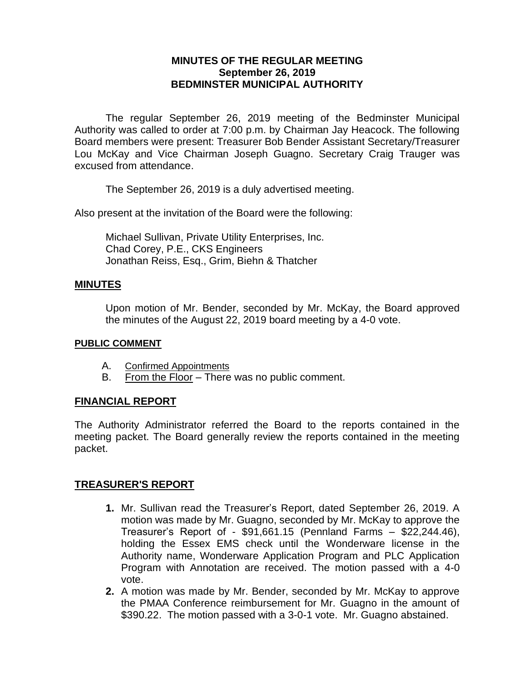## **MINUTES OF THE REGULAR MEETING September 26, 2019 BEDMINSTER MUNICIPAL AUTHORITY**

The regular September 26, 2019 meeting of the Bedminster Municipal Authority was called to order at 7:00 p.m. by Chairman Jay Heacock. The following Board members were present: Treasurer Bob Bender Assistant Secretary/Treasurer Lou McKay and Vice Chairman Joseph Guagno. Secretary Craig Trauger was excused from attendance.

The September 26, 2019 is a duly advertised meeting.

Also present at the invitation of the Board were the following:

Michael Sullivan, Private Utility Enterprises, Inc. Chad Corey, P.E., CKS Engineers Jonathan Reiss, Esq., Grim, Biehn & Thatcher

### **MINUTES**

Upon motion of Mr. Bender, seconded by Mr. McKay, the Board approved the minutes of the August 22, 2019 board meeting by a 4-0 vote.

#### **PUBLIC COMMENT**

- A. Confirmed Appointments
- B. From the Floor There was no public comment.

## **FINANCIAL REPORT**

The Authority Administrator referred the Board to the reports contained in the meeting packet. The Board generally review the reports contained in the meeting packet.

## **TREASURER'S REPORT**

- **1.** Mr. Sullivan read the Treasurer's Report, dated September 26, 2019. A motion was made by Mr. Guagno, seconded by Mr. McKay to approve the Treasurer's Report of - \$91,661.15 (Pennland Farms – \$22,244.46), holding the Essex EMS check until the Wonderware license in the Authority name, Wonderware Application Program and PLC Application Program with Annotation are received. The motion passed with a 4-0 vote.
- **2.** A motion was made by Mr. Bender, seconded by Mr. McKay to approve the PMAA Conference reimbursement for Mr. Guagno in the amount of \$390.22. The motion passed with a 3-0-1 vote. Mr. Guagno abstained.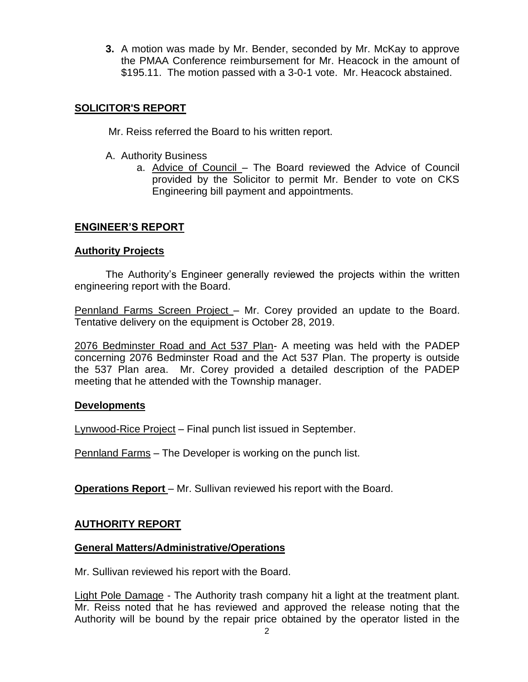**3.** A motion was made by Mr. Bender, seconded by Mr. McKay to approve the PMAA Conference reimbursement for Mr. Heacock in the amount of \$195.11. The motion passed with a 3-0-1 vote. Mr. Heacock abstained.

## **SOLICITOR'S REPORT**

Mr. Reiss referred the Board to his written report.

- A. Authority Business
	- a. Advice of Council The Board reviewed the Advice of Council provided by the Solicitor to permit Mr. Bender to vote on CKS Engineering bill payment and appointments.

# **ENGINEER'S REPORT**

### **Authority Projects**

The Authority's Engineer generally reviewed the projects within the written engineering report with the Board.

Pennland Farms Screen Project – Mr. Corey provided an update to the Board. Tentative delivery on the equipment is October 28, 2019.

2076 Bedminster Road and Act 537 Plan- A meeting was held with the PADEP concerning 2076 Bedminster Road and the Act 537 Plan. The property is outside the 537 Plan area. Mr. Corey provided a detailed description of the PADEP meeting that he attended with the Township manager.

## **Developments**

Lynwood-Rice Project – Final punch list issued in September.

Pennland Farms – The Developer is working on the punch list.

**Operations Report** – Mr. Sullivan reviewed his report with the Board.

## **AUTHORITY REPORT**

#### **General Matters/Administrative/Operations**

Mr. Sullivan reviewed his report with the Board.

Light Pole Damage - The Authority trash company hit a light at the treatment plant. Mr. Reiss noted that he has reviewed and approved the release noting that the Authority will be bound by the repair price obtained by the operator listed in the